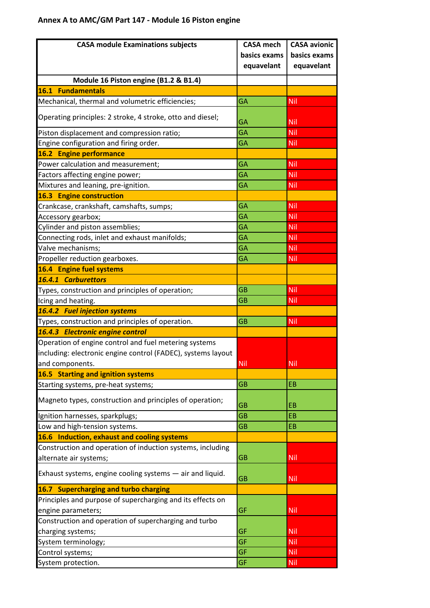## **Annex A to AMC/GM Part 147 - Module 16 Piston engine**

| <b>CASA module Examinations subjects</b>                                                                                                 | <b>CASA</b> mech<br>basics exams<br>equavelant | <b>CASA avionic</b><br>basics exams<br>equavelant |
|------------------------------------------------------------------------------------------------------------------------------------------|------------------------------------------------|---------------------------------------------------|
| Module 16 Piston engine (B1.2 & B1.4)                                                                                                    |                                                |                                                   |
| 16.1 Fundamentals                                                                                                                        |                                                |                                                   |
| Mechanical, thermal and volumetric efficiencies;                                                                                         | GA                                             | Nil                                               |
| Operating principles: 2 stroke, 4 stroke, otto and diesel;                                                                               | GA                                             | <b>Nil</b>                                        |
| Piston displacement and compression ratio;                                                                                               | GA                                             | Nil                                               |
| Engine configuration and firing order.                                                                                                   | GA                                             | Nil                                               |
| 16.2 Engine performance                                                                                                                  |                                                |                                                   |
| Power calculation and measurement;                                                                                                       | GA                                             | <b>Nil</b>                                        |
| Factors affecting engine power;                                                                                                          | <b>GA</b>                                      | Nil                                               |
| Mixtures and leaning, pre-ignition.                                                                                                      | GA                                             | Nil                                               |
| <b>16.3 Engine construction</b>                                                                                                          |                                                |                                                   |
| Crankcase, crankshaft, camshafts, sumps;                                                                                                 | GA                                             | Nil                                               |
| Accessory gearbox;                                                                                                                       | GA                                             | Nil                                               |
| Cylinder and piston assemblies;                                                                                                          | GA                                             | Nil                                               |
| Connecting rods, inlet and exhaust manifolds;                                                                                            | GA                                             | Nil                                               |
| Valve mechanisms;                                                                                                                        | GA                                             | Nil                                               |
| Propeller reduction gearboxes.                                                                                                           | GA                                             | Nil                                               |
| 16.4 Engine fuel systems                                                                                                                 |                                                |                                                   |
| 16.4.1 Carburettors                                                                                                                      |                                                |                                                   |
| Types, construction and principles of operation;                                                                                         | <b>GB</b>                                      | Nil                                               |
| Icing and heating.                                                                                                                       | <b>GB</b>                                      | Nil                                               |
| 16.4.2 Fuel injection systems                                                                                                            |                                                |                                                   |
| Types, construction and principles of operation.                                                                                         | <b>GB</b>                                      | Nil                                               |
| 16.4.3 Electronic engine control                                                                                                         |                                                |                                                   |
| Operation of engine control and fuel metering systems<br>including: electronic engine control (FADEC), systems layout<br>and components. | <b>Nil</b>                                     | <b>Nil</b>                                        |
| 16.5 Starting and ignition systems                                                                                                       |                                                |                                                   |
| Starting systems, pre-heat systems;                                                                                                      | <b>GB</b>                                      | EB                                                |
|                                                                                                                                          |                                                |                                                   |
| Magneto types, construction and principles of operation;                                                                                 | GB                                             | EB                                                |
| Ignition harnesses, sparkplugs;                                                                                                          | <b>GB</b>                                      | EB                                                |
| Low and high-tension systems.                                                                                                            | <b>GB</b>                                      | EB                                                |
| 16.6 Induction, exhaust and cooling systems                                                                                              |                                                |                                                   |
| Construction and operation of induction systems, including<br>alternate air systems;                                                     | <b>GB</b>                                      | Nil                                               |
| Exhaust systems, engine cooling systems - air and liquid.                                                                                | <b>GB</b>                                      | Nil                                               |
| 16.7 Supercharging and turbo charging                                                                                                    |                                                |                                                   |
| Principles and purpose of supercharging and its effects on                                                                               |                                                |                                                   |
| engine parameters;                                                                                                                       | GF                                             | Nil                                               |
| Construction and operation of supercharging and turbo                                                                                    |                                                |                                                   |
| charging systems;                                                                                                                        | GF                                             | <b>Nil</b>                                        |
| System terminology;                                                                                                                      | GF                                             | <b>Nil</b>                                        |
| Control systems;                                                                                                                         | GF                                             | Nil                                               |
| System protection.                                                                                                                       | <b>GF</b>                                      | <b>Nil</b>                                        |